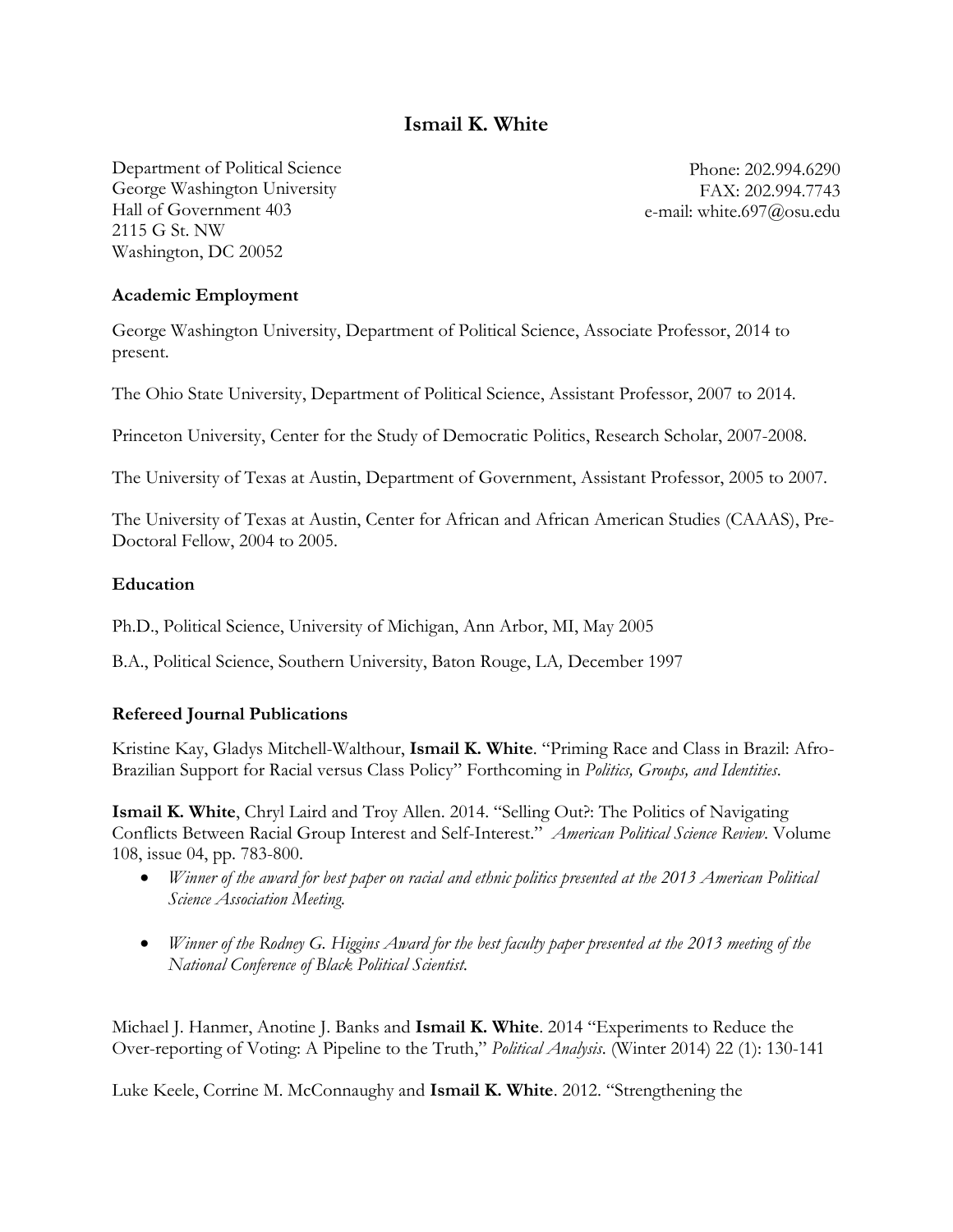# **Ismail K. White**

Department of Political Science George Washington University Hall of Government 403 2115 G St. NW Washington, DC 20052

Phone: 202.994.6290 FAX: 202.994.7743 e-mail: white.697@osu.edu

#### **Academic Employment**

George Washington University, Department of Political Science, Associate Professor, 2014 to present.

The Ohio State University, Department of Political Science, Assistant Professor, 2007 to 2014.

Princeton University, Center for the Study of Democratic Politics, Research Scholar, 2007-2008.

The University of Texas at Austin, Department of Government, Assistant Professor, 2005 to 2007.

The University of Texas at Austin, Center for African and African American Studies (CAAAS), Pre-Doctoral Fellow, 2004 to 2005.

#### **Education**

Ph.D., Political Science, University of Michigan, Ann Arbor, MI, May 2005

B.A., Political Science, Southern University, Baton Rouge, LA*,* December 1997

#### **Refereed Journal Publications**

Kristine Kay, Gladys Mitchell-Walthour, **Ismail K. White**. "Priming Race and Class in Brazil: Afro-Brazilian Support for Racial versus Class Policy" Forthcoming in *Politics, Groups, and Identities*.

**Ismail K. White**, Chryl Laird and Troy Allen. 2014. "Selling Out?: The Politics of Navigating Conflicts Between Racial Group Interest and Self-Interest." *American Political Science Review*. Volume 108, issue 04, pp. 783-800.

- *Winner of the award for best paper on racial and ethnic politics presented at the 2013 American Political Science Association Meeting.*
- *Winner of the Rodney G. Higgins Award for the best faculty paper presented at the 2013 meeting of the National Conference of Black Political Scientist.*

Michael J. Hanmer, Anotine J. Banks and **Ismail K. White**. 2014 "Experiments to Reduce the Over-reporting of Voting: A Pipeline to the Truth," *Political Analysis*. (Winter 2014) 22 (1): 130-141

Luke Keele, Corrine M. McConnaughy and **Ismail K. White**. 2012. "Strengthening the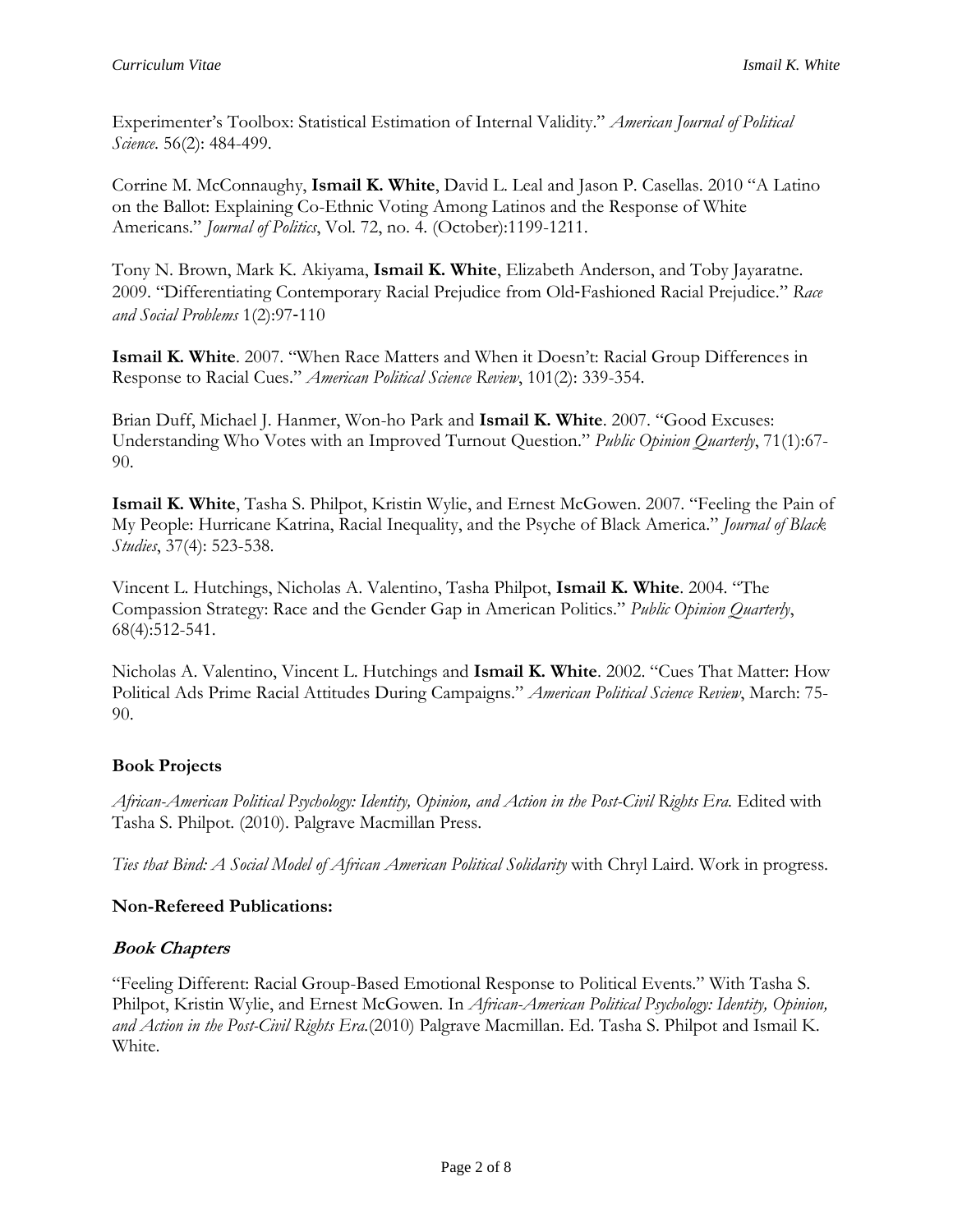Experimenter's Toolbox: Statistical Estimation of Internal Validity." *American Journal of Political Science*. 56(2): 484-499.

Corrine M. McConnaughy, **Ismail K. White**, David L. Leal and Jason P. Casellas. 2010 "A Latino on the Ballot: Explaining Co-Ethnic Voting Among Latinos and the Response of White Americans." *Journal of Politics*, Vol. 72, no. 4. (October):1199-1211.

Tony N. Brown, Mark K. Akiyama, **Ismail K. White**, Elizabeth Anderson, and Toby Jayaratne. 2009. "Differentiating Contemporary Racial Prejudice from Old‐Fashioned Racial Prejudice." *Race and Social Problems* 1(2):97‐110

**Ismail K. White**. 2007. "When Race Matters and When it Doesn't: Racial Group Differences in Response to Racial Cues." *American Political Science Review*, 101(2): 339-354.

Brian Duff, Michael J. Hanmer, Won-ho Park and **Ismail K. White**. 2007. "Good Excuses: Understanding Who Votes with an Improved Turnout Question." *Public Opinion Quarterly*, 71(1):67- 90.

**Ismail K. White**, Tasha S. Philpot, Kristin Wylie, and Ernest McGowen. 2007. "Feeling the Pain of My People: Hurricane Katrina, Racial Inequality, and the Psyche of Black America." *Journal of Black Studies*, 37(4): 523-538.

Vincent L. Hutchings, Nicholas A. Valentino, Tasha Philpot, **Ismail K. White**. 2004. "The Compassion Strategy: Race and the Gender Gap in American Politics." *Public Opinion Quarterly*, 68(4):512-541.

Nicholas A. Valentino, Vincent L. Hutchings and **Ismail K. White**. 2002. "Cues That Matter: How Political Ads Prime Racial Attitudes During Campaigns." *American Political Science Review*, March: 75- 90.

# **Book Projects**

*African-American Political Psychology: Identity, Opinion, and Action in the Post-Civil Rights Era.* Edited with Tasha S. Philpot. (2010). Palgrave Macmillan Press.

*Ties that Bind: A Social Model of African American Political Solidarity* with Chryl Laird. Work in progress.

# **Non-Refereed Publications:**

#### **Book Chapters**

"Feeling Different: Racial Group-Based Emotional Response to Political Events." With Tasha S. Philpot, Kristin Wylie, and Ernest McGowen. In *African-American Political Psychology: Identity, Opinion, and Action in the Post-Civil Rights Era.*(2010) Palgrave Macmillan. Ed. Tasha S. Philpot and Ismail K. White.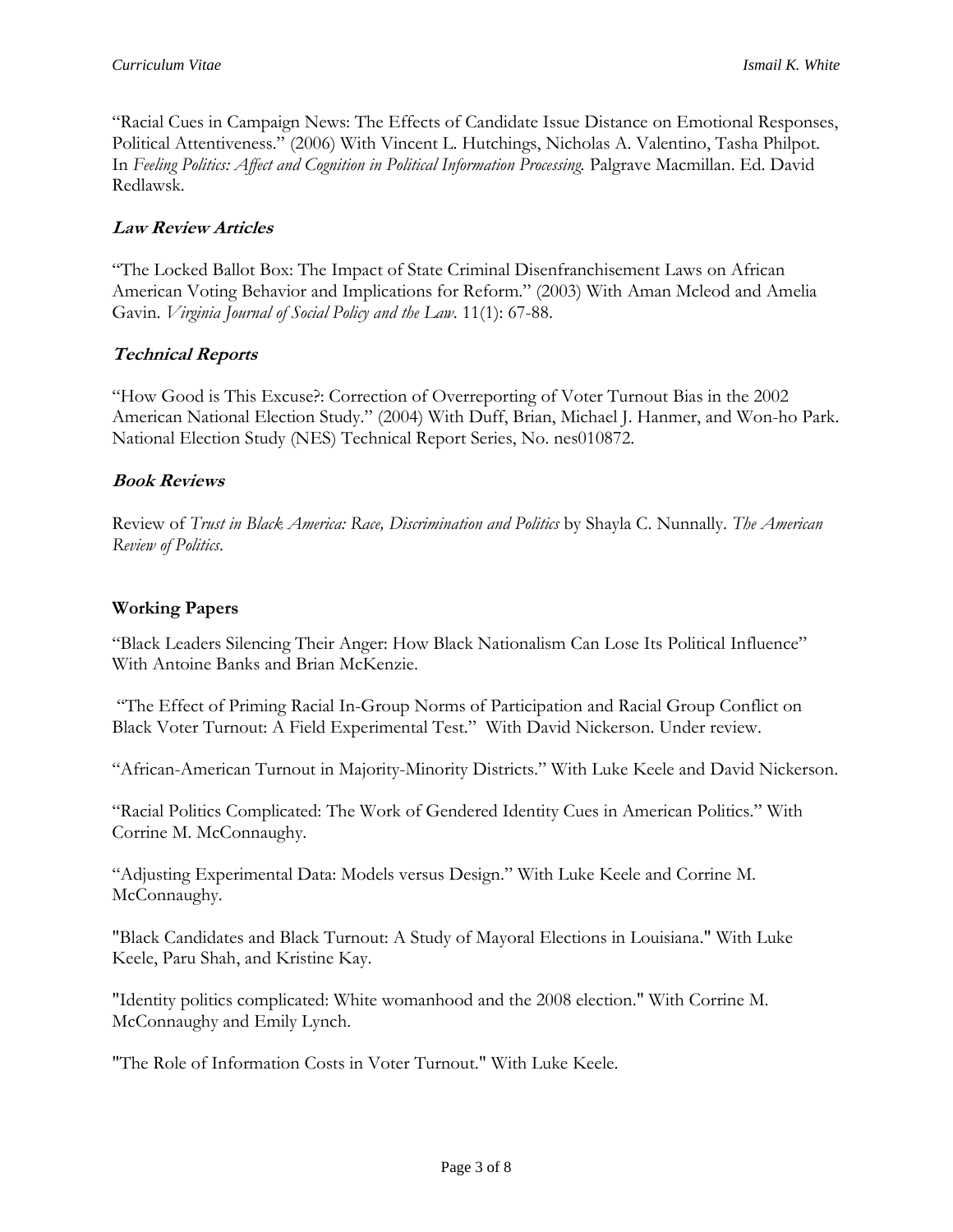"Racial Cues in Campaign News: The Effects of Candidate Issue Distance on Emotional Responses, Political Attentiveness." (2006) With Vincent L. Hutchings, Nicholas A. Valentino, Tasha Philpot. In *Feeling Politics: Affect and Cognition in Political Information Processing.* Palgrave Macmillan. Ed. David Redlawsk.

### **Law Review Articles**

"The Locked Ballot Box: The Impact of State Criminal Disenfranchisement Laws on African American Voting Behavior and Implications for Reform." (2003) With Aman Mcleod and Amelia Gavin. *Virginia Journal of Social Policy and the Law*. 11(1): 67-88.

## **Technical Reports**

"How Good is This Excuse?: Correction of Overreporting of Voter Turnout Bias in the 2002 American National Election Study." (2004) With Duff, Brian, Michael J. Hanmer, and Won-ho Park. National Election Study (NES) Technical Report Series, No. nes010872.

#### **Book Reviews**

Review of *Trust in Black America: Race, Discrimination and Politics* by Shayla C. Nunnally. *The American Review of Politics*.

### **Working Papers**

"Black Leaders Silencing Their Anger: How Black Nationalism Can Lose Its Political Influence" With Antoine Banks and Brian McKenzie.

"The Effect of Priming Racial In-Group Norms of Participation and Racial Group Conflict on Black Voter Turnout: A Field Experimental Test." With David Nickerson. Under review.

"African-American Turnout in Majority-Minority Districts." With Luke Keele and David Nickerson.

"Racial Politics Complicated: The Work of Gendered Identity Cues in American Politics." With Corrine M. McConnaughy.

"Adjusting Experimental Data: Models versus Design." With Luke Keele and Corrine M. McConnaughy.

"Black Candidates and Black Turnout: A Study of Mayoral Elections in Louisiana." With Luke Keele, Paru Shah, and Kristine Kay.

"Identity politics complicated: White womanhood and the 2008 election." With Corrine M. McConnaughy and Emily Lynch.

"The Role of Information Costs in Voter Turnout." With Luke Keele.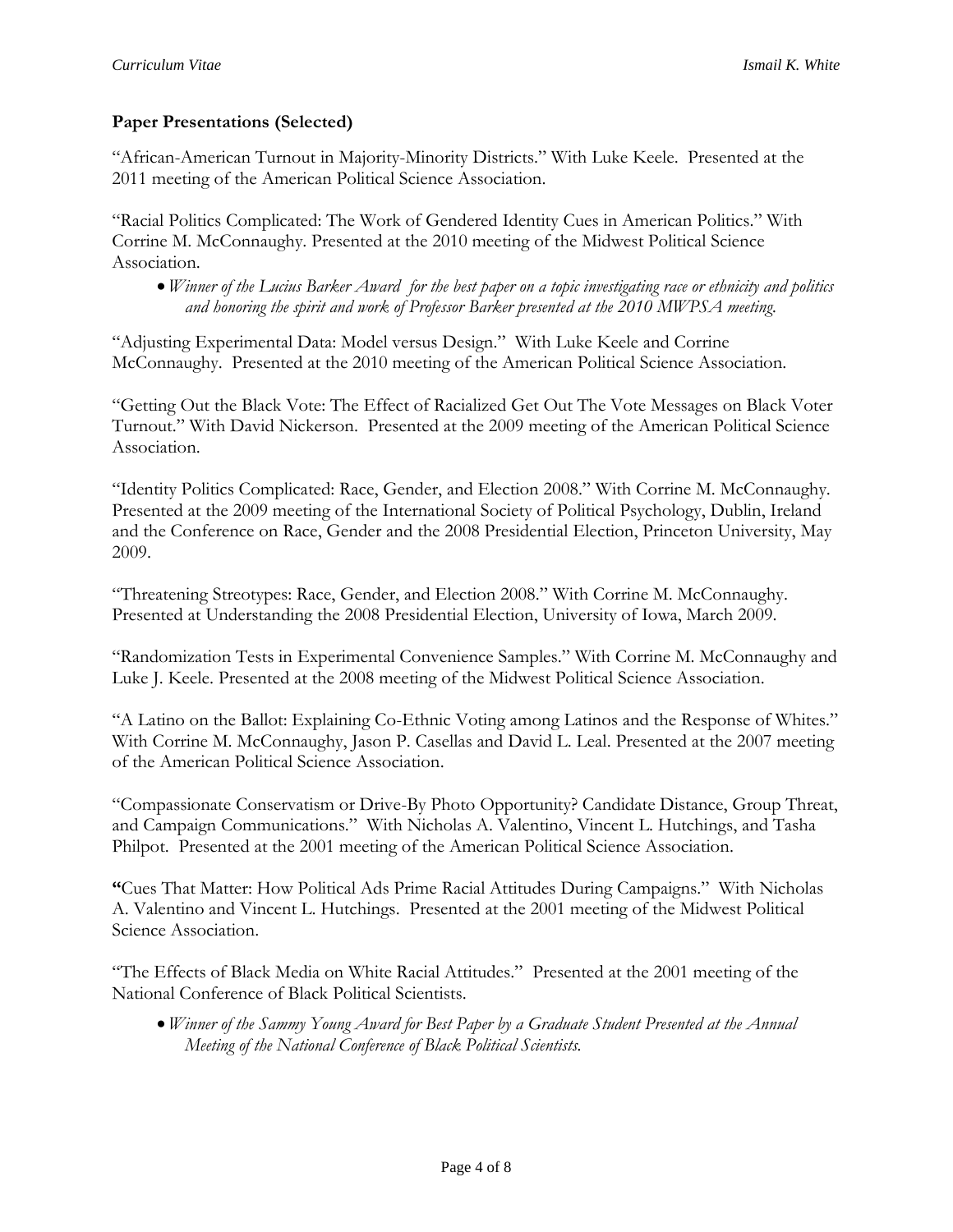# **Paper Presentations (Selected)**

"African-American Turnout in Majority-Minority Districts." With Luke Keele. Presented at the 2011 meeting of the American Political Science Association.

"Racial Politics Complicated: The Work of Gendered Identity Cues in American Politics." With Corrine M. McConnaughy. Presented at the 2010 meeting of the Midwest Political Science Association.

*Winner of the Lucius Barker Award for the best paper on a topic investigating race or ethnicity and politics and honoring the spirit and work of Professor Barker presented at the 2010 MWPSA meeting.*

"Adjusting Experimental Data: Model versus Design." With Luke Keele and Corrine McConnaughy. Presented at the 2010 meeting of the American Political Science Association.

"[Getting Out the Black Vote: The Effect of Racialized Get Out The Vote Messages on Black Voter](ftp://polisci.osu.edu/GOTBV.pdf)  [Turnout](ftp://polisci.osu.edu/GOTBV.pdf)." With David Nickerson. Presented at the 2009 meeting of the American Political Science Association.

"Identity Politics Complicated: Race, Gender, and Election 2008." With Corrine M. McConnaughy. Presented at the 2009 meeting of the International Society of Political Psychology, Dublin, Ireland and the Conference on Race, Gender and the 2008 Presidential Election, Princeton University, May 2009.

"Threatening Streotypes: Race, Gender, and Election 2008." With Corrine M. McConnaughy. Presented at Understanding the 2008 Presidential Election, University of Iowa, March 2009.

"Randomization Tests in Experimental Convenience Samples." With Corrine M. McConnaughy and Luke J. Keele. Presented at the 2008 meeting of the Midwest Political Science Association.

"A Latino on the Ballot: Explaining Co-Ethnic Voting among Latinos and the Response of Whites." With Corrine M. McConnaughy, Jason P. Casellas and David L. Leal. Presented at the 2007 meeting of the American Political Science Association.

"Compassionate Conservatism or Drive-By Photo Opportunity? Candidate Distance, Group Threat, and Campaign Communications." With Nicholas A. Valentino, Vincent L. Hutchings, and Tasha Philpot. Presented at the 2001 meeting of the American Political Science Association.

**"**Cues That Matter: How Political Ads Prime Racial Attitudes During Campaigns." With Nicholas A. Valentino and Vincent L. Hutchings. Presented at the 2001 meeting of the Midwest Political Science Association.

"The Effects of Black Media on White Racial Attitudes." Presented at the 2001 meeting of the National Conference of Black Political Scientists.

*Winner of the Sammy Young Award for Best Paper by a Graduate Student Presented at the Annual Meeting of the National Conference of Black Political Scientists.*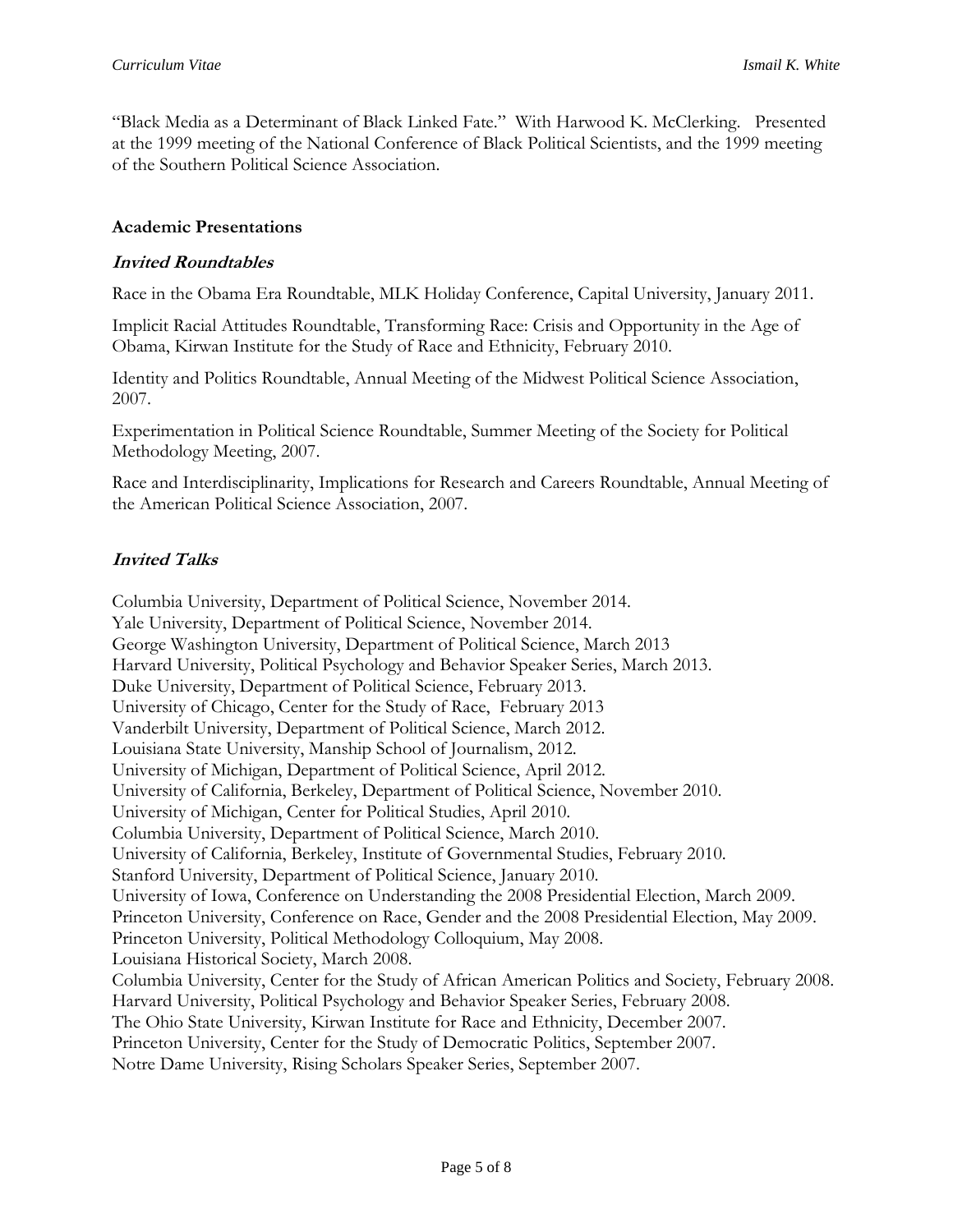"Black Media as a Determinant of Black Linked Fate." With Harwood K. McClerking. Presented at the 1999 meeting of the National Conference of Black Political Scientists, and the 1999 meeting of the Southern Political Science Association.

### **Academic Presentations**

### **Invited Roundtables**

Race in the Obama Era Roundtable, MLK Holiday Conference, Capital University, January 2011.

Implicit Racial Attitudes Roundtable, Transforming Race: Crisis and Opportunity in the Age of Obama, Kirwan Institute for the Study of Race and Ethnicity, February 2010.

Identity and Politics Roundtable, Annual Meeting of the Midwest Political Science Association, 2007.

Experimentation in Political Science Roundtable, Summer Meeting of the Society for Political Methodology Meeting, 2007.

Race and Interdisciplinarity, Implications for Research and Careers Roundtable, Annual Meeting of the American Political Science Association, 2007.

# **Invited Talks**

Columbia University, Department of Political Science, November 2014. Yale University, Department of Political Science, November 2014. George Washington University, Department of Political Science, March 2013 Harvard University, Political Psychology and Behavior Speaker Series, March 2013. Duke University, Department of Political Science, February 2013. University of Chicago, Center for the Study of Race, February 2013 Vanderbilt University, Department of Political Science, March 2012. Louisiana State University, Manship School of Journalism, 2012. University of Michigan, Department of Political Science, April 2012. University of California, Berkeley, Department of Political Science, November 2010. University of Michigan, Center for Political Studies, April 2010. Columbia University, Department of Political Science, March 2010. University of California, Berkeley, Institute of Governmental Studies, February 2010. Stanford University, Department of Political Science, January 2010. University of Iowa, Conference on Understanding the 2008 Presidential Election, March 2009. Princeton University, Conference on Race, Gender and the 2008 Presidential Election, May 2009. Princeton University, Political Methodology Colloquium, May 2008. Louisiana Historical Society, March 2008. Columbia University, Center for the Study of African American Politics and Society, February 2008. Harvard University, Political Psychology and Behavior Speaker Series, February 2008. The Ohio State University, Kirwan Institute for Race and Ethnicity, December 2007. Princeton University, Center for the Study of Democratic Politics, September 2007. Notre Dame University, Rising Scholars Speaker Series, September 2007.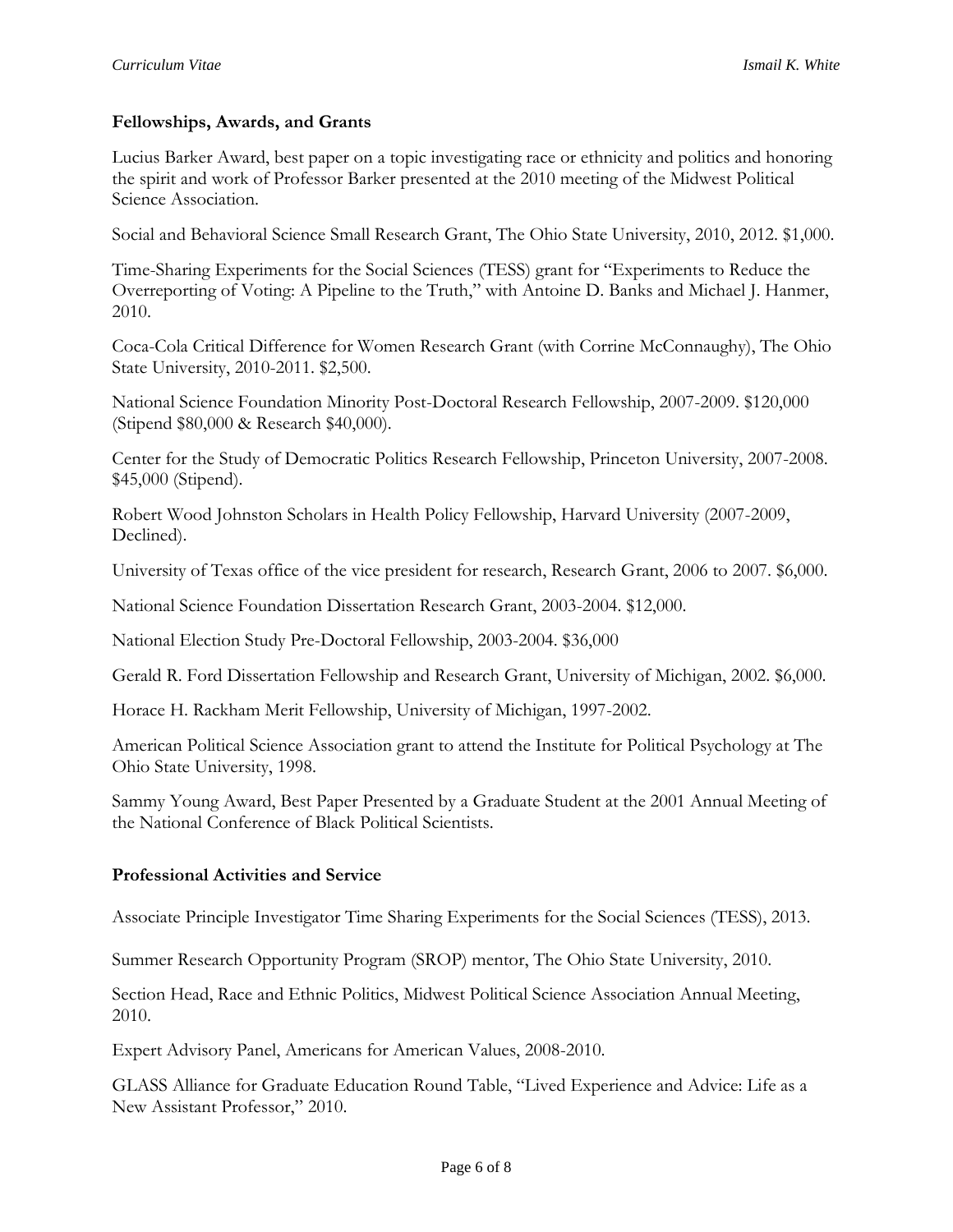### **Fellowships, Awards, and Grants**

Lucius Barker Award, best paper on a topic investigating race or ethnicity and politics and honoring the spirit and work of Professor Barker presented at the 2010 meeting of the Midwest Political Science Association.

Social and Behavioral Science Small Research Grant, The Ohio State University, 2010, 2012. \$1,000.

Time-Sharing Experiments for the Social Sciences (TESS) grant for "Experiments to Reduce the Overreporting of Voting: A Pipeline to the Truth," with Antoine D. Banks and Michael J. Hanmer, 2010.

Coca-Cola Critical Difference for Women Research Grant (with Corrine McConnaughy), The Ohio State University, 2010-2011. \$2,500.

National Science Foundation Minority Post-Doctoral Research Fellowship, 2007-2009. \$120,000 (Stipend \$80,000 & Research \$40,000).

Center for the Study of Democratic Politics Research Fellowship, Princeton University, 2007-2008. \$45,000 (Stipend).

Robert Wood Johnston Scholars in Health Policy Fellowship, Harvard University (2007-2009, Declined).

University of Texas office of the vice president for research, Research Grant, 2006 to 2007. \$6,000.

National Science Foundation Dissertation Research Grant, 2003-2004. \$12,000.

National Election Study Pre-Doctoral Fellowship, 2003-2004. \$36,000

Gerald R. Ford Dissertation Fellowship and Research Grant, University of Michigan, 2002. \$6,000.

Horace H. Rackham Merit Fellowship, University of Michigan, 1997-2002.

American Political Science Association grant to attend the Institute for Political Psychology at The Ohio State University, 1998.

Sammy Young Award, Best Paper Presented by a Graduate Student at the 2001 Annual Meeting of the National Conference of Black Political Scientists.

#### **Professional Activities and Service**

Associate Principle Investigator Time Sharing Experiments for the Social Sciences (TESS), 2013.

Summer Research Opportunity Program (SROP) mentor, The Ohio State University, 2010.

Section Head, Race and Ethnic Politics, Midwest Political Science Association Annual Meeting, 2010.

Expert Advisory Panel, Americans for American Values, 2008-2010.

GLASS Alliance for Graduate Education Round Table, "Lived Experience and Advice: Life as a New Assistant Professor," 2010.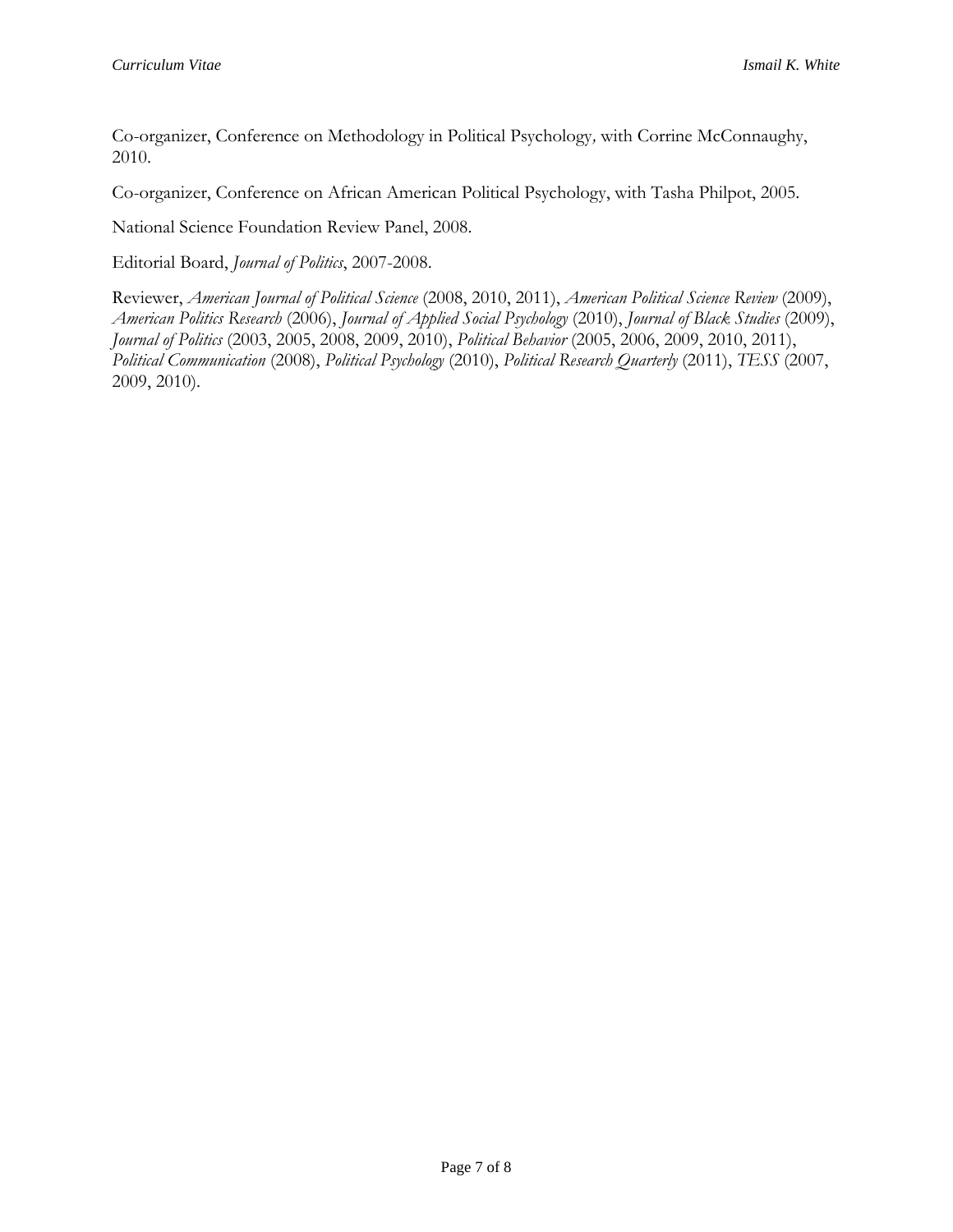Co-organizer, Conference on Methodology in Political Psychology*,* with Corrine McConnaughy, 2010.

Co-organizer, Conference on African American Political Psychology, with Tasha Philpot, 2005.

National Science Foundation Review Panel, 2008.

Editorial Board, *Journal of Politics*, 2007-2008.

Reviewer, *American Journal of Political Science* (2008, 2010, 2011), *American Political Science Review* (2009), *American Politics Research* (2006), *Journal of Applied Social Psychology* (2010), *Journal of Black Studies* (2009), *Journal of Politics* (2003, 2005, 2008, 2009, 2010), *Political Behavior* (2005, 2006, 2009, 2010, 2011), *Political Communication* (2008), *Political Psychology* (2010), *Political Research Quarterly* (2011), *TESS* (2007, 2009, 2010).